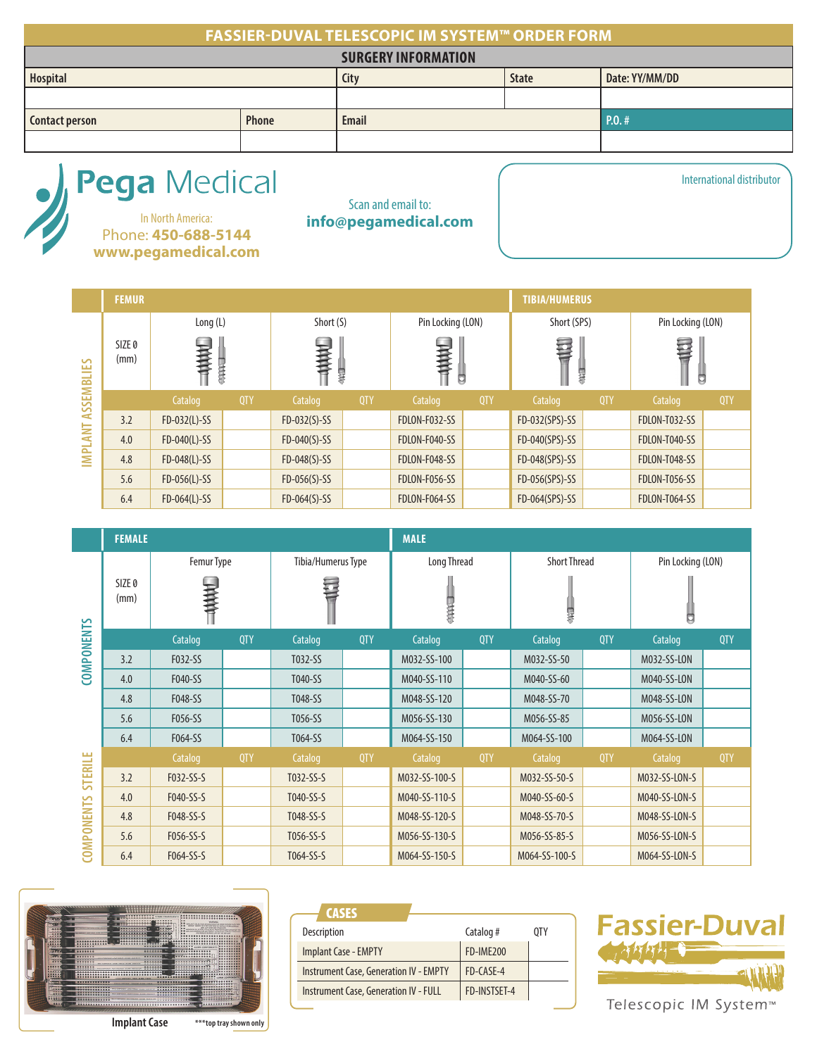### **FASSIER-DUVAL TELESCOPIC IM SYSTEM™ ORDER FORM**

| <b>SURGERY INFORMATION</b>            |      |              |                |                |  |
|---------------------------------------|------|--------------|----------------|----------------|--|
| Hospital                              | City | <b>State</b> | Date: YY/MM/DD |                |  |
|                                       |      |              |                |                |  |
| <b>Contact person</b><br><b>Phone</b> |      | <b>Email</b> |                | $\vert$ P.O. # |  |
|                                       |      |              |                |                |  |

# Pega Medical

In North America: **info@pegamedical.com** Phone: **450-688-5144 www.pegamedical.com**

Scan and email to:

|                | <b>FEMUR</b>              |                |            |                |            |                   |     | <b>TIBIA/HUMERUS</b> |            |                   |     |
|----------------|---------------------------|----------------|------------|----------------|------------|-------------------|-----|----------------------|------------|-------------------|-----|
|                |                           | Long (L)       |            | Short (S)      |            | Pin Locking (LON) |     | Short (SPS)          |            | Pin Locking (LON) |     |
| ASSEMBLIES     | SIZE <sub>0</sub><br>(mm) | 小林村            |            | 一个样子<br>导线     |            | HAAH<br>Ö         |     | 再<br>导导              |            | 事<br>Ő            |     |
|                |                           | Catalog        | <b>QTY</b> | Catalog        | <b>QTY</b> | Catalog           | QTY | Catalog              | <b>QTY</b> | Catalog           | QTY |
|                | 3.2                       | $FD-032(L)-SS$ |            | $FD-032(S)-SS$ |            | FDLON-F032-SS     |     | FD-032(SPS)-SS       |            | FDLON-T032-SS     |     |
| <b>IMPLANT</b> | 4.0                       | $FD-040(L)-SS$ |            | $FD-040(S)-SS$ |            | FDLON-F040-SS     |     | FD-040(SPS)-SS       |            | FDLON-T040-SS     |     |
|                | 4.8                       | $FD-048(L)-SS$ |            | $FD-048(S)-SS$ |            | FDLON-F048-SS     |     | FD-048(SPS)-SS       |            | FDLON-T048-SS     |     |
|                | 5.6                       | $FD-056(L)-SS$ |            | $FD-056(S)-SS$ |            | FDLON-F056-SS     |     | FD-056(SPS)-SS       |            | FDLON-T056-SS     |     |
|                | 6.4                       | $FD-064(L)-SS$ |            | $FD-064(S)-SS$ |            | FDLON-F064-SS     |     | FD-064(SPS)-SS       |            | FDLON-T064-SS     |     |

|                   | <b>FEMALE</b>             |            |            |                    |            | <b>MALE</b>   |            |                     |            |                   |            |
|-------------------|---------------------------|------------|------------|--------------------|------------|---------------|------------|---------------------|------------|-------------------|------------|
|                   |                           | Femur Type |            | Tibia/Humerus Type |            | Long Thread   |            | <b>Short Thread</b> |            | Pin Locking (LON) |            |
|                   | SIZE <sub>0</sub><br>(mm) | 医性核性       |            |                    |            | 大夫            |            | 界                   |            | ◘                 |            |
| <b>COMPONENTS</b> |                           | Catalog    | <b>QTY</b> | Catalog            | <b>QTY</b> | Catalog       | <b>QTY</b> | Catalog             | <b>QTY</b> | Catalog           | <b>QTY</b> |
|                   | 3.2                       | F032-SS    |            | T032-SS            |            | M032-SS-100   |            | M032-SS-50          |            | M032-SS-LON       |            |
|                   | 4.0                       | F040-SS    |            | T040-SS            |            | M040-SS-110   |            | M040-SS-60          |            | M040-SS-LON       |            |
|                   | 4.8                       | F048-SS    |            | T048-SS            |            | M048-SS-120   |            | M048-SS-70          |            | M048-SS-LON       |            |
|                   | 5.6                       | F056-SS    |            | T056-SS            |            | M056-SS-130   |            | M056-SS-85          |            | M056-SS-LON       |            |
|                   | 6.4                       | F064-SS    |            | T064-SS            |            | M064-SS-150   |            | M064-SS-100         |            | M064-SS-LON       |            |
|                   |                           | Catalog    | <b>QTY</b> | Catalog            | <b>QTY</b> | Catalog       | <b>QTY</b> | Catalog             | <b>QTY</b> | Catalog           | <b>QTY</b> |
| STERILE           | 3.2                       | F032-SS-S  |            | T032-SS-S          |            | M032-SS-100-S |            | M032-SS-50-S        |            | M032-SS-LON-S     |            |
|                   | 4.0                       | F040-SS-S  |            | T040-SS-S          |            | M040-SS-110-S |            | M040-SS-60-S        |            | M040-SS-LON-S     |            |
|                   | 4.8                       | F048-SS-S  |            | T048-SS-S          |            | M048-SS-120-S |            | M048-SS-70-S        |            | M048-SS-LON-S     |            |
| <b>COMPONENTS</b> | 5.6                       | F056-SS-S  |            | T056-SS-S          |            | M056-SS-130-S |            | M056-SS-85-S        |            | M056-SS-LON-S     |            |
|                   | 6.4                       | F064-SS-S  |            | T064-SS-S          |            | M064-SS-150-S |            | M064-SS-100-S       |            | M064-SS-LON-S     |            |



| <b>CASES</b>                                  |                  |     |
|-----------------------------------------------|------------------|-----|
| <b>Description</b>                            | Catalog #        | 0TY |
| <b>Implant Case - EMPTY</b>                   | <b>FD-IME200</b> |     |
| <b>Instrument Case, Generation IV - EMPTY</b> | FD-CASF-4        |     |
| <b>Instrument Case, Generation IV - FULL</b>  | FD-INSTSFT-4     |     |



International distributor

Telescopic IM System<sup>™</sup>